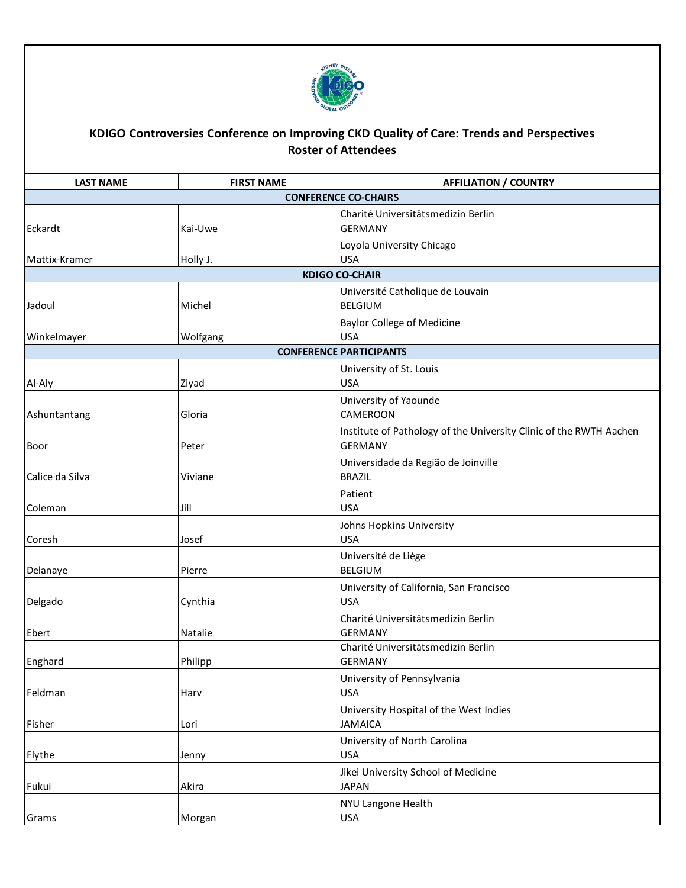

## **KDIGO Controversies Conference on Improving CKD Quality of Care: Trends and Perspectives Roster of Attendees**

| <b>LAST NAME</b>               | <b>FIRST NAME</b> | <b>AFFILIATION / COUNTRY</b>                                                         |  |  |
|--------------------------------|-------------------|--------------------------------------------------------------------------------------|--|--|
|                                |                   | <b>CONFERENCE CO-CHAIRS</b>                                                          |  |  |
| Eckardt                        | Kai-Uwe           | Charité Universitätsmedizin Berlin<br><b>GERMANY</b>                                 |  |  |
| Mattix-Kramer                  | Holly J.          | Loyola University Chicago<br><b>USA</b>                                              |  |  |
|                                |                   | <b>KDIGO CO-CHAIR</b>                                                                |  |  |
| Jadoul                         | Michel            | Université Catholique de Louvain<br><b>BELGIUM</b>                                   |  |  |
| Winkelmayer                    | Wolfgang          | <b>Baylor College of Medicine</b><br><b>USA</b>                                      |  |  |
| <b>CONFERENCE PARTICIPANTS</b> |                   |                                                                                      |  |  |
| Al-Aly                         | Ziyad             | University of St. Louis<br><b>USA</b>                                                |  |  |
| Ashuntantang                   | Gloria            | University of Yaounde<br>CAMEROON                                                    |  |  |
| Boor                           | Peter             | Institute of Pathology of the University Clinic of the RWTH Aachen<br><b>GERMANY</b> |  |  |
| Calice da Silva                | Viviane           | Universidade da Região de Joinville<br><b>BRAZIL</b>                                 |  |  |
| Coleman                        | Jill              | Patient<br><b>USA</b>                                                                |  |  |
| Coresh                         | Josef             | Johns Hopkins University<br><b>USA</b>                                               |  |  |
| Delanaye                       | Pierre            | Université de Liège<br><b>BELGIUM</b>                                                |  |  |
| Delgado                        | Cynthia           | University of California, San Francisco<br><b>USA</b>                                |  |  |
| Ebert                          | Natalie           | Charité Universitätsmedizin Berlin<br><b>GERMANY</b>                                 |  |  |
| Enghard                        | Philipp           | Charité Universitätsmedizin Berlin<br><b>GERMANY</b>                                 |  |  |
| Feldman                        | Harv              | University of Pennsylvania<br><b>USA</b>                                             |  |  |
| Fisher                         | Lori              | University Hospital of the West Indies<br><b>JAMAICA</b>                             |  |  |
| Flythe                         | Jenny             | University of North Carolina<br><b>USA</b>                                           |  |  |
| Fukui                          | Akira             | Jikei University School of Medicine<br><b>JAPAN</b>                                  |  |  |
| Grams                          | Morgan            | NYU Langone Health<br>USA                                                            |  |  |
|                                |                   |                                                                                      |  |  |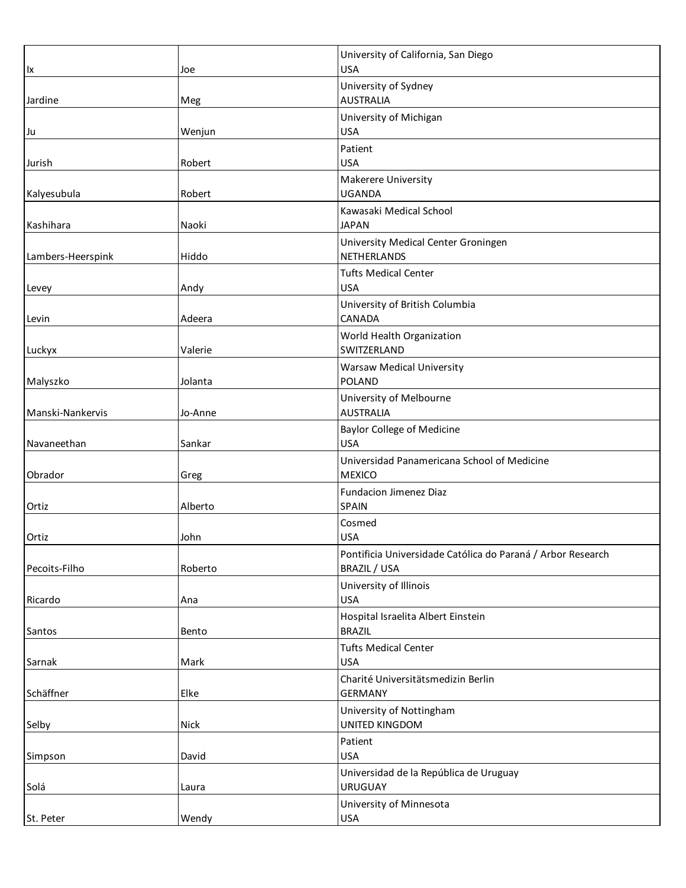|                   |         | University of California, San Diego                          |
|-------------------|---------|--------------------------------------------------------------|
| lx                | Joe     | <b>USA</b><br>University of Sydney                           |
| Jardine           | Meg     | <b>AUSTRALIA</b>                                             |
|                   |         | University of Michigan                                       |
| Ju                | Wenjun  | <b>USA</b>                                                   |
|                   |         | Patient                                                      |
| Jurish            | Robert  | <b>USA</b>                                                   |
| Kalyesubula       | Robert  | Makerere University<br><b>UGANDA</b>                         |
|                   |         | Kawasaki Medical School                                      |
| Kashihara         | Naoki   | <b>JAPAN</b>                                                 |
|                   |         | University Medical Center Groningen                          |
| Lambers-Heerspink | Hiddo   | NETHERLANDS                                                  |
|                   |         | <b>Tufts Medical Center</b>                                  |
| Levey             | Andy    | <b>USA</b>                                                   |
| Levin             | Adeera  | University of British Columbia<br>CANADA                     |
|                   |         | World Health Organization                                    |
| Luckyx            | Valerie | SWITZERLAND                                                  |
|                   |         | <b>Warsaw Medical University</b>                             |
| Malyszko          | Jolanta | <b>POLAND</b>                                                |
|                   |         | University of Melbourne                                      |
| Manski-Nankervis  | Jo-Anne | <b>AUSTRALIA</b>                                             |
|                   |         | <b>Baylor College of Medicine</b>                            |
| Navaneethan       | Sankar  | <b>USA</b>                                                   |
| Obrador           | Greg    | Universidad Panamericana School of Medicine<br><b>MEXICO</b> |
|                   |         | Fundacion Jimenez Diaz                                       |
| Ortiz             | Alberto | SPAIN                                                        |
|                   |         | Cosmed                                                       |
| Ortiz             | John    | <b>USA</b>                                                   |
|                   |         | Pontificia Universidade Católica do Paraná / Arbor Research  |
| Pecoits-Filho     | Roberto | BRAZIL / USA                                                 |
|                   |         | University of Illinois                                       |
| Ricardo           | Ana     | <b>USA</b>                                                   |
| Santos            | Bento   | Hospital Israelita Albert Einstein<br><b>BRAZIL</b>          |
|                   |         | <b>Tufts Medical Center</b>                                  |
| Sarnak            | Mark    | <b>USA</b>                                                   |
|                   |         | Charité Universitätsmedizin Berlin                           |
| Schäffner         | Elke    | <b>GERMANY</b>                                               |
|                   |         | University of Nottingham                                     |
| Selby             | Nick    | UNITED KINGDOM                                               |
|                   |         | Patient                                                      |
| Simpson           | David   | <b>USA</b>                                                   |
| Solá              | Laura   | Universidad de la República de Uruguay<br><b>URUGUAY</b>     |
|                   |         | University of Minnesota                                      |
| St. Peter         | Wendy   | USA                                                          |
|                   |         |                                                              |